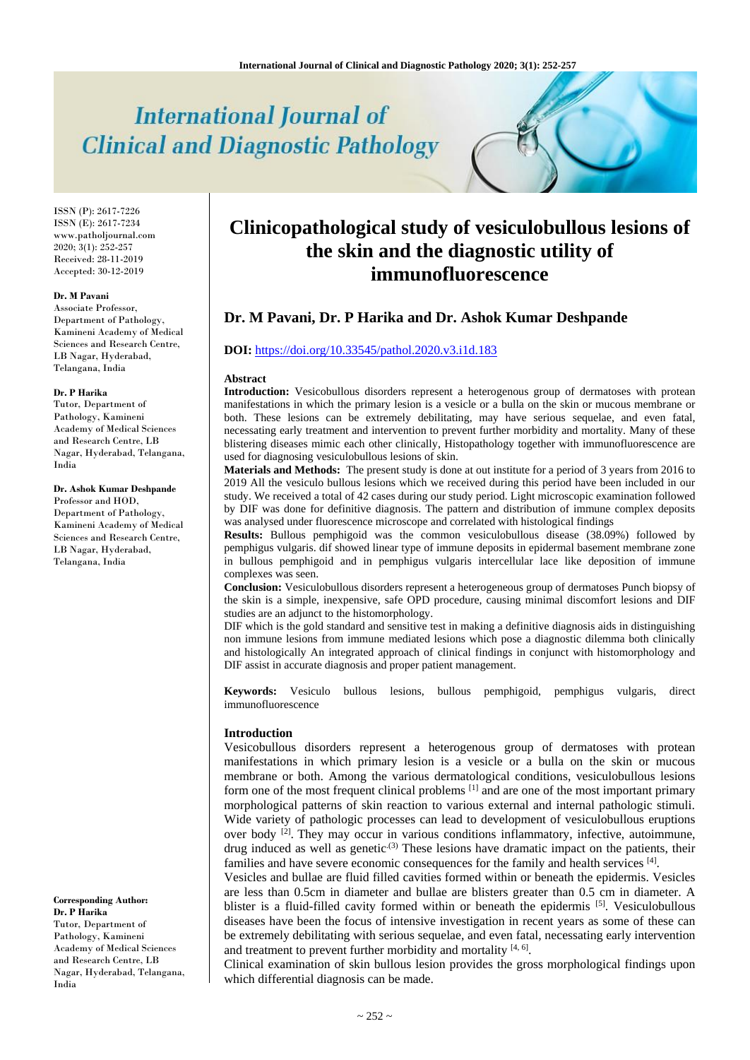# **International Journal of Clinical and Diagnostic Pathology**

ISSN (P): 2617-7226 ISSN (E): 2617-7234 www.patholjournal.com  $2020; 3(1): 252-257$ Received: 28-11-2019 Accepted: 30-12-2019

#### **Dr. M Pavani**

Associate Professor, Department of Pathology, Kamineni Academy of Medical Sciences and Research Centre, LB Nagar, Hyderabad, Telangana, India

#### **Dr. P Harika**

Tutor, Department of Pathology, Kamineni Academy of Medical Sciences and Research Centre, LB Nagar, Hyderabad, Telangana, India

**Dr. Ashok Kumar Deshpande** Professor and HOD, Department of Pathology, Kamineni Academy of Medical Sciences and Research Centre, LB Nagar, Hyderabad, Telangana, India

**Corresponding Author: Dr. P Harika** Tutor, Department of Pathology, Kamineni Academy of Medical Sciences and Research Centre, LB Nagar, Hyderabad, Telangana, India

# **Clinicopathological study of vesiculobullous lesions of the skin and the diagnostic utility of immunofluorescence**

# **Dr. M Pavani, Dr. P Harika and Dr. Ashok Kumar Deshpande**

## **DOI:** <https://doi.org/10.33545/pathol.2020.v3.i1d.183>

#### **Abstract**

**Introduction:** Vesicobullous disorders represent a heterogenous group of dermatoses with protean manifestations in which the primary lesion is a vesicle or a bulla on the skin or mucous membrane or both. These lesions can be extremely debilitating, may have serious sequelae, and even fatal, necessating early treatment and intervention to prevent further morbidity and mortality. Many of these blistering diseases mimic each other clinically, Histopathology together with immunofluorescence are used for diagnosing vesiculobullous lesions of skin.

**Materials and Methods:** The present study is done at out institute for a period of 3 years from 2016 to 2019 All the vesiculo bullous lesions which we received during this period have been included in our study. We received a total of 42 cases during our study period. Light microscopic examination followed by DIF was done for definitive diagnosis. The pattern and distribution of immune complex deposits was analysed under fluorescence microscope and correlated with histological findings

**Results:** Bullous pemphigoid was the common vesiculobullous disease (38.09%) followed by pemphigus vulgaris. dif showed linear type of immune deposits in epidermal basement membrane zone in bullous pemphigoid and in pemphigus vulgaris intercellular lace like deposition of immune complexes was seen.

**Conclusion:** Vesiculobullous disorders represent a heterogeneous group of dermatoses Punch biopsy of the skin is a simple, inexpensive, safe OPD procedure, causing minimal discomfort lesions and DIF studies are an adjunct to the histomorphology.

DIF which is the gold standard and sensitive test in making a definitive diagnosis aids in distinguishing non immune lesions from immune mediated lesions which pose a diagnostic dilemma both clinically and histologically An integrated approach of clinical findings in conjunct with histomorphology and DIF assist in accurate diagnosis and proper patient management.

**Keywords:** Vesiculo bullous lesions, bullous pemphigoid, pemphigus vulgaris, direct immunofluorescence

#### **Introduction**

Vesicobullous disorders represent a heterogenous group of dermatoses with protean manifestations in which primary lesion is a vesicle or a bulla on the skin or mucous membrane or both. Among the various dermatological conditions, vesiculobullous lesions form one of the most frequent clinical problems<sup>[1]</sup> and are one of the most important primary morphological patterns of skin reaction to various external and internal pathologic stimuli. Wide variety of pathologic processes can lead to development of vesiculobullous eruptions over body <sup>[2]</sup>. They may occur in various conditions inflammatory, infective, autoimmune, drug induced as well as genetic<sup>(3)</sup> These lesions have dramatic impact on the patients, their families and have severe economic consequences for the family and health services [4].

Vesicles and bullae are fluid filled cavities formed within or beneath the epidermis. Vesicles are less than 0.5cm in diameter and bullae are blisters greater than 0.5 cm in diameter. A blister is a fluid-filled cavity formed within or beneath the epidermis [5]. Vesiculobullous diseases have been the focus of intensive investigation in recent years as some of these can be extremely debilitating with serious sequelae, and even fatal, necessating early intervention and treatment to prevent further morbidity and mortality  $[4, 6]$ .

Clinical examination of skin bullous lesion provides the gross morphological findings upon which differential diagnosis can be made.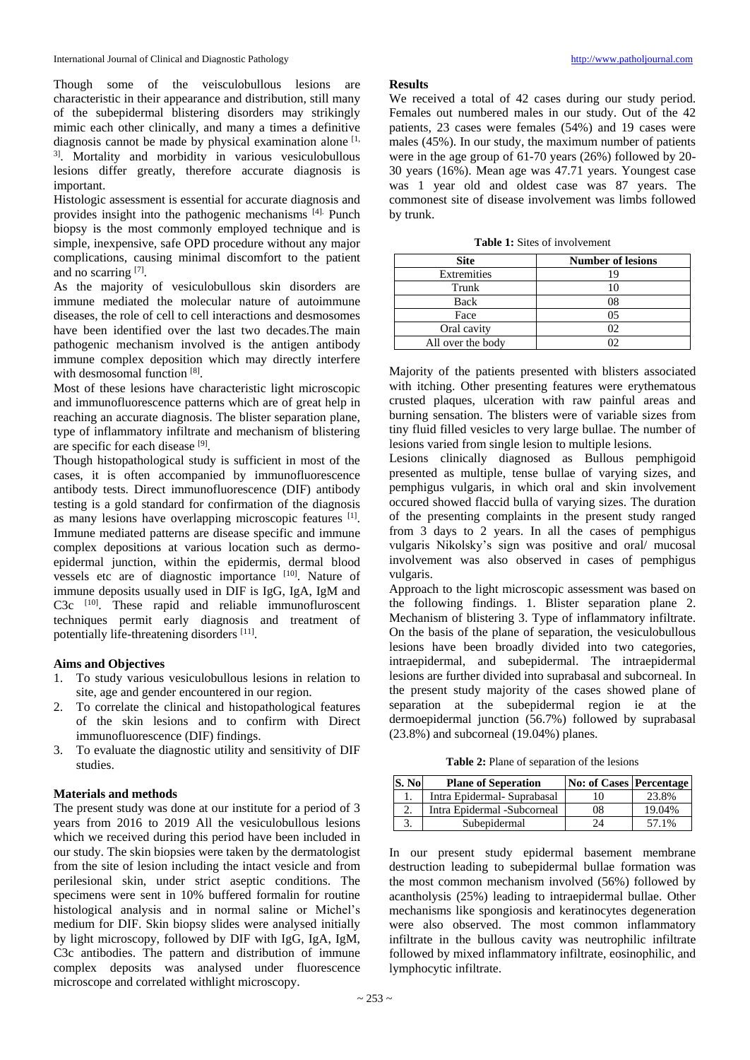Though some of the veisculobullous lesions are characteristic in their appearance and distribution, still many of the subepidermal blistering disorders may strikingly mimic each other clinically, and many a times a definitive diagnosis cannot be made by physical examination alone  $[1, 1]$ 3] . Mortality and morbidity in various vesiculobullous lesions differ greatly, therefore accurate diagnosis is important.

Histologic assessment is essential for accurate diagnosis and provides insight into the pathogenic mechanisms [4]. Punch biopsy is the most commonly employed technique and is simple, inexpensive, safe OPD procedure without any major complications, causing minimal discomfort to the patient and no scarring [7].

As the majority of vesiculobullous skin disorders are immune mediated the molecular nature of autoimmune diseases, the role of cell to cell interactions and desmosomes have been identified over the last two decades.The main pathogenic mechanism involved is the antigen antibody immune complex deposition which may directly interfere with desmosomal function [8].

Most of these lesions have characteristic light microscopic and immunofluorescence patterns which are of great help in reaching an accurate diagnosis. The blister separation plane, type of inflammatory infiltrate and mechanism of blistering are specific for each disease [9].

Though histopathological study is sufficient in most of the cases, it is often accompanied by immunofluorescence antibody tests. Direct immunofluorescence (DIF) antibody testing is a gold standard for confirmation of the diagnosis as many lesions have overlapping microscopic features [1]. Immune mediated patterns are disease specific and immune complex depositions at various location such as dermoepidermal junction, within the epidermis, dermal blood vessels etc are of diagnostic importance [10]. Nature of immune deposits usually used in DIF is IgG, IgA, IgM and C3c <sup>[10]</sup>. These rapid and reliable immunofluroscent techniques permit early diagnosis and treatment of potentially life-threatening disorders [11].

# **Aims and Objectives**

- 1. To study various vesiculobullous lesions in relation to site, age and gender encountered in our region.
- 2. To correlate the clinical and histopathological features of the skin lesions and to confirm with Direct immunofluorescence (DIF) findings.
- 3. To evaluate the diagnostic utility and sensitivity of DIF studies.

# **Materials and methods**

The present study was done at our institute for a period of 3 years from 2016 to 2019 All the vesiculobullous lesions which we received during this period have been included in our study. The skin biopsies were taken by the dermatologist from the site of lesion including the intact vesicle and from perilesional skin, under strict aseptic conditions. The specimens were sent in 10% buffered formalin for routine histological analysis and in normal saline or Michel's medium for DIF. Skin biopsy slides were analysed initially by light microscopy, followed by DIF with IgG, IgA, IgM, C3c antibodies. The pattern and distribution of immune complex deposits was analysed under fluorescence microscope and correlated withlight microscopy.

# **Results**

We received a total of 42 cases during our study period. Females out numbered males in our study. Out of the 42 patients, 23 cases were females (54%) and 19 cases were males (45%). In our study, the maximum number of patients were in the age group of 61-70 years (26%) followed by 20- 30 years (16%). Mean age was 47.71 years. Youngest case was 1 year old and oldest case was 87 years. The commonest site of disease involvement was limbs followed by trunk.

**Table 1:** Sites of involvement

| <b>Site</b>       | <b>Number of lesions</b> |
|-------------------|--------------------------|
| Extremities       | 19                       |
| Trunk             |                          |
| Back              | 08                       |
| Face              | 05                       |
| Oral cavity       |                          |
| All over the body |                          |

Majority of the patients presented with blisters associated with itching. Other presenting features were erythematous crusted plaques, ulceration with raw painful areas and burning sensation. The blisters were of variable sizes from tiny fluid filled vesicles to very large bullae. The number of lesions varied from single lesion to multiple lesions.

Lesions clinically diagnosed as Bullous pemphigoid presented as multiple, tense bullae of varying sizes, and pemphigus vulgaris, in which oral and skin involvement occured showed flaccid bulla of varying sizes. The duration of the presenting complaints in the present study ranged from 3 days to 2 years. In all the cases of pemphigus vulgaris Nikolsky's sign was positive and oral/ mucosal involvement was also observed in cases of pemphigus vulgaris.

Approach to the light microscopic assessment was based on the following findings. 1. Blister separation plane 2. Mechanism of blistering 3. Type of inflammatory infiltrate. On the basis of the plane of separation, the vesiculobullous lesions have been broadly divided into two categories, intraepidermal, and subepidermal. The intraepidermal lesions are further divided into suprabasal and subcorneal. In the present study majority of the cases showed plane of separation at the subepidermal region ie at the dermoepidermal junction (56.7%) followed by suprabasal (23.8%) and subcorneal (19.04%) planes.

**Table 2:** Plane of separation of the lesions

| S. No | <b>Plane of Seperation</b>  | <b>No: of Cases Percentage</b> |        |
|-------|-----------------------------|--------------------------------|--------|
|       | Intra Epidermal- Suprabasal |                                | 23.8%  |
|       | Intra Epidermal -Subcorneal | 08                             | 19.04% |
|       | Subepidermal                |                                | 57.1%  |

In our present study epidermal basement membrane destruction leading to subepidermal bullae formation was the most common mechanism involved (56%) followed by acantholysis (25%) leading to intraepidermal bullae. Other mechanisms like spongiosis and keratinocytes degeneration were also observed. The most common inflammatory infiltrate in the bullous cavity was neutrophilic infiltrate followed by mixed inflammatory infiltrate, eosinophilic, and lymphocytic infiltrate.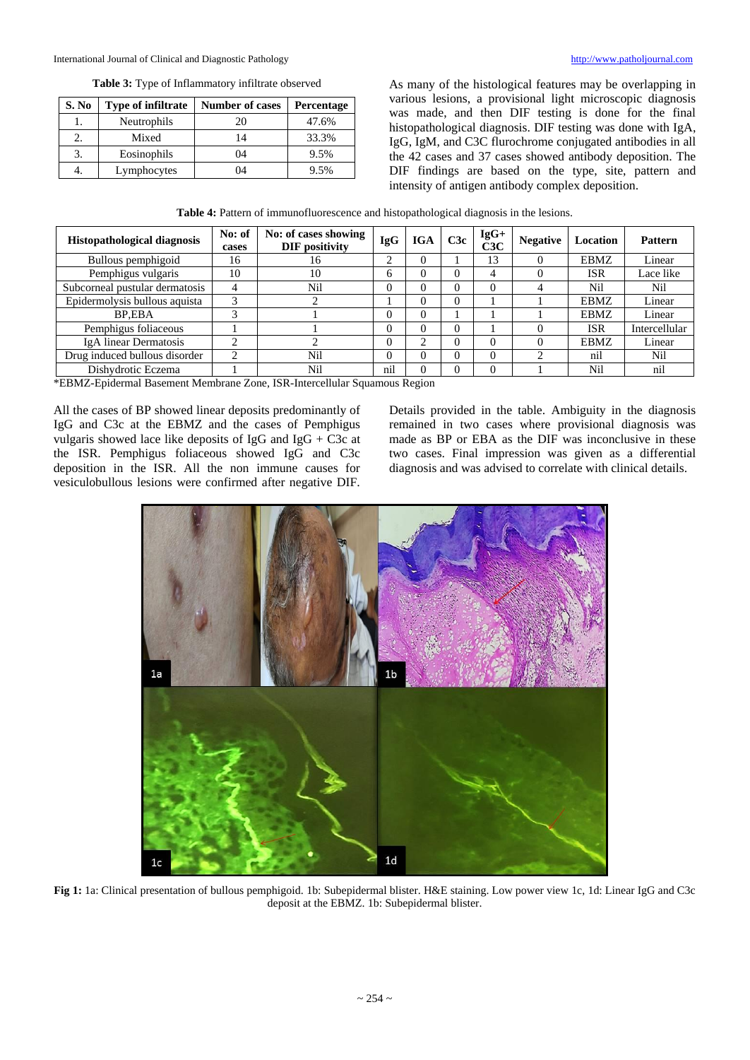International Journal of Clinical and Diagnostic Pathology [http://www.patholjournal.com](http://www.patholjournal.com/)

### **Table 3:** Type of Inflammatory infiltrate observed

| S. No | <b>Type of infiltrate</b> | <b>Number of cases</b> | <b>Percentage</b> |
|-------|---------------------------|------------------------|-------------------|
|       | Neutrophils               | 20                     | 47.6%             |
|       | Mixed                     | 14                     | 33.3%             |
| 3.    | Eosinophils               | 04                     | 9.5%              |
| 4.    | Lymphocytes               | 04                     | 9.5%              |

As many of the histological features may be overlapping in various lesions, a provisional light microscopic diagnosis was made, and then DIF testing is done for the final histopathological diagnosis. DIF testing was done with IgA, IgG, IgM, and C3C flurochrome conjugated antibodies in all the 42 cases and 37 cases showed antibody deposition. The DIF findings are based on the type, site, pattern and intensity of antigen antibody complex deposition.

**Table 4:** Pattern of immunofluorescence and histopathological diagnosis in the lesions.

| <b>Histopathological diagnosis</b> | No: of<br>cases | No: of cases showing<br><b>DIF</b> positivity | <b>IgG</b>   | <b>IGA</b> | C3c | $IgG+$<br>C3C | <b>Negative</b> | Location    | <b>Pattern</b> |
|------------------------------------|-----------------|-----------------------------------------------|--------------|------------|-----|---------------|-----------------|-------------|----------------|
| Bullous pemphigoid                 | 16              | 16                                            | ◠            |            |     | 13            |                 | <b>EBMZ</b> | Linear         |
| Pemphigus vulgaris                 | 10              | 10                                            | <sub>(</sub> |            |     |               |                 | <b>ISR</b>  | Lace like      |
| Subcorneal pustular dermatosis     |                 | Nil                                           |              |            |     | $\Omega$      |                 | Nil         | Nil            |
| Epidermolysis bullous aquista      | $\sim$          |                                               |              |            |     |               |                 | <b>EBMZ</b> | Linear         |
| BP.EBA                             |                 |                                               |              |            |     |               |                 | <b>EBMZ</b> | Linear         |
| Pemphigus foliaceous               |                 |                                               |              |            |     |               |                 | <b>ISR</b>  | Intercellular  |
| IgA linear Dermatosis              | ◠               |                                               |              | ◠          |     |               |                 | <b>EBMZ</b> | Linear         |
| Drug induced bullous disorder      |                 | Nil                                           |              |            |     | $\Omega$      |                 | nil         | Nil            |
| Dishydrotic Eczema                 |                 | Nil                                           | nil          |            |     |               |                 | Nil         | nil            |

\*EBMZ-Epidermal Basement Membrane Zone, ISR-Intercellular Squamous Region

All the cases of BP showed linear deposits predominantly of IgG and C3c at the EBMZ and the cases of Pemphigus vulgaris showed lace like deposits of IgG and IgG + C3c at the ISR. Pemphigus foliaceous showed IgG and C3c deposition in the ISR. All the non immune causes for vesiculobullous lesions were confirmed after negative DIF.

Details provided in the table. Ambiguity in the diagnosis remained in two cases where provisional diagnosis was made as BP or EBA as the DIF was inconclusive in these two cases. Final impression was given as a differential diagnosis and was advised to correlate with clinical details.



**Fig 1:** 1a: Clinical presentation of bullous pemphigoid. 1b: Subepidermal blister. H&E staining. Low power view 1c, 1d: Linear IgG and C3c deposit at the EBMZ. 1b: Subepidermal blister.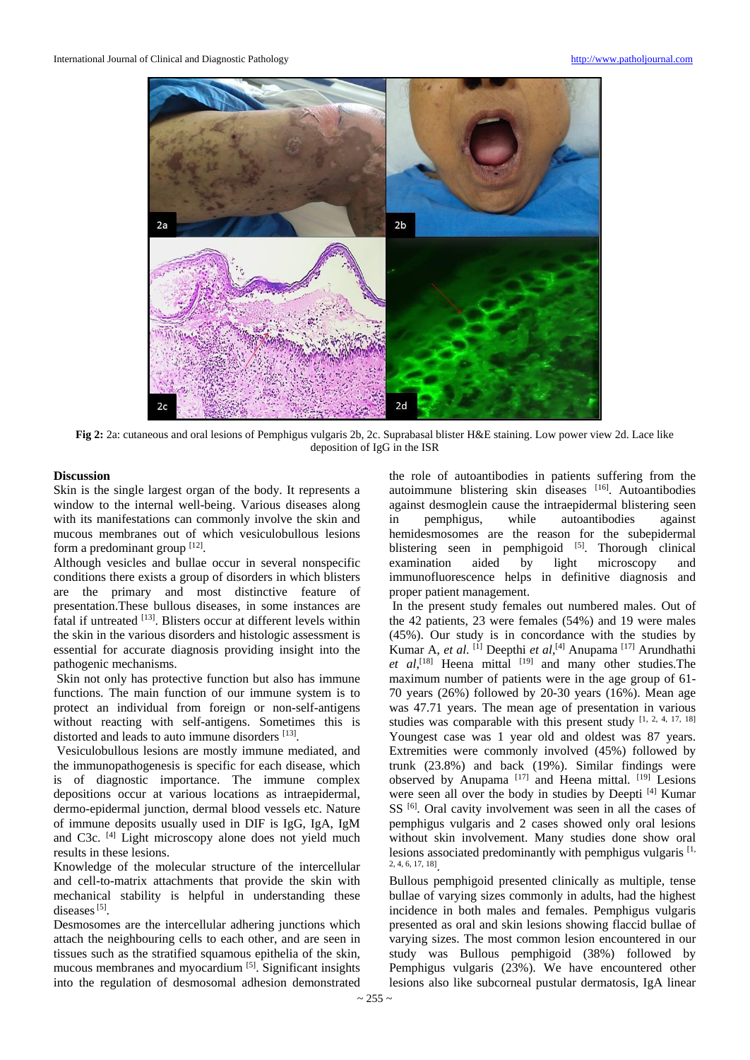

**Fig 2:** 2a: cutaneous and oral lesions of Pemphigus vulgaris 2b, 2c. Suprabasal blister H&E staining. Low power view 2d. Lace like deposition of IgG in the ISR

# **Discussion**

Skin is the single largest organ of the body. It represents a window to the internal well-being. Various diseases along with its manifestations can commonly involve the skin and mucous membranes out of which vesiculobullous lesions form a predominant group [12].

Although vesicles and bullae occur in several nonspecific conditions there exists a group of disorders in which blisters are the primary and most distinctive feature of presentation.These bullous diseases, in some instances are fatal if untreated [13]. Blisters occur at different levels within the skin in the various disorders and histologic assessment is essential for accurate diagnosis providing insight into the pathogenic mechanisms.

Skin not only has protective function but also has immune functions. The main function of our immune system is to protect an individual from foreign or non-self-antigens without reacting with self-antigens. Sometimes this is distorted and leads to auto immune disorders [13].

Vesiculobullous lesions are mostly immune mediated, and the immunopathogenesis is specific for each disease, which is of diagnostic importance. The immune complex depositions occur at various locations as intraepidermal, dermo-epidermal junction, dermal blood vessels etc. Nature of immune deposits usually used in DIF is IgG, IgA, IgM and C3c. [4] Light microscopy alone does not yield much results in these lesions.

Knowledge of the molecular structure of the intercellular and cell-to-matrix attachments that provide the skin with mechanical stability is helpful in understanding these diseases<sup>[5]</sup>.

Desmosomes are the intercellular adhering junctions which attach the neighbouring cells to each other, and are seen in tissues such as the stratified squamous epithelia of the skin, mucous membranes and myocardium [5] . Significant insights into the regulation of desmosomal adhesion demonstrated

the role of autoantibodies in patients suffering from the autoimmune blistering skin diseases [16]. Autoantibodies against desmoglein cause the intraepidermal blistering seen in pemphigus, while autoantibodies against hemidesmosomes are the reason for the subepidermal blistering seen in pemphigoid  $[5]$ . Thorough clinical examination aided by light microscopy and immunofluorescence helps in definitive diagnosis and proper patient management.

In the present study females out numbered males. Out of the 42 patients, 23 were females (54%) and 19 were males (45%). Our study is in concordance with the studies by Kumar A, *et al*. [1] Deepthi *et al*, [4] Anupama [17] Arundhathi  $et \ al$ , <sup>[18]</sup> Heena mittal  $[19]$  and many other studies. The maximum number of patients were in the age group of 61- 70 years (26%) followed by 20-30 years (16%). Mean age was 47.71 years. The mean age of presentation in various studies was comparable with this present study [1, 2, 4, 17, 18] Youngest case was 1 year old and oldest was 87 years. Extremities were commonly involved (45%) followed by trunk (23.8%) and back (19%). Similar findings were observed by Anupama<sup>[17]</sup> and Heena mittal.  $[19]$  Lesions were seen all over the body in studies by Deepti [4] Kumar SS<sup>[6]</sup>. Oral cavity involvement was seen in all the cases of pemphigus vulgaris and 2 cases showed only oral lesions without skin involvement. Many studies done show oral lesions associated predominantly with pemphigus vulgaris [1, 2, 4, 6, 17, 18] .

Bullous pemphigoid presented clinically as multiple, tense bullae of varying sizes commonly in adults, had the highest incidence in both males and females. Pemphigus vulgaris presented as oral and skin lesions showing flaccid bullae of varying sizes. The most common lesion encountered in our study was Bullous pemphigoid (38%) followed by Pemphigus vulgaris (23%). We have encountered other lesions also like subcorneal pustular dermatosis, IgA linear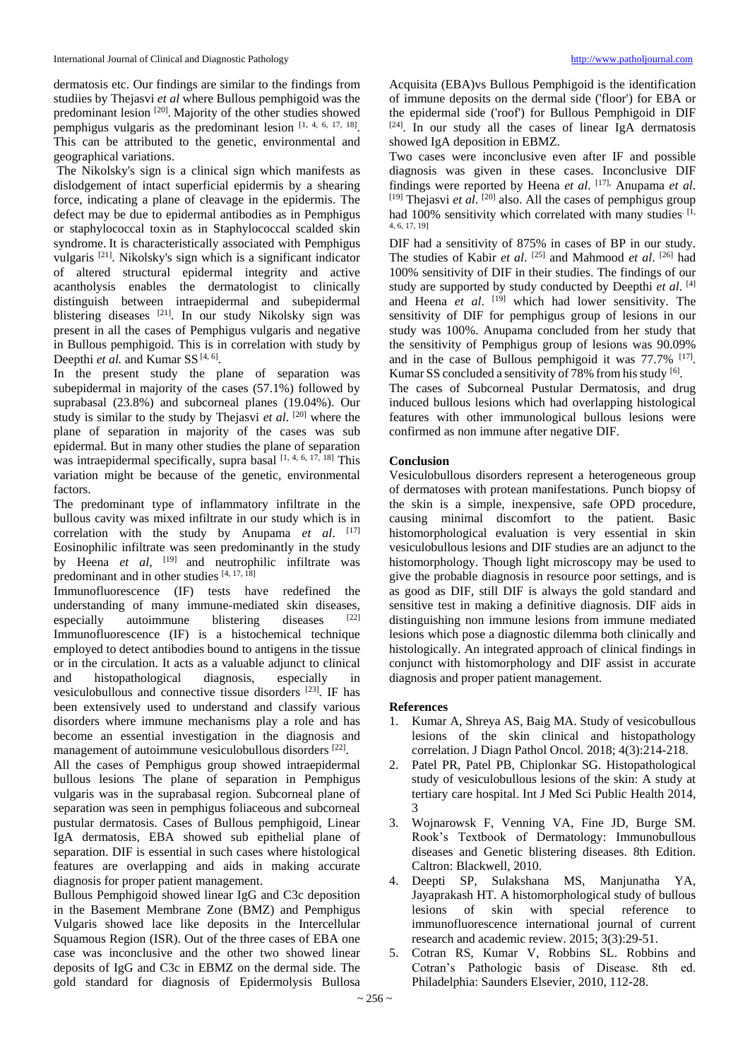dermatosis etc. Our findings are similar to the findings from studiies by Thejasvi *et al* where Bullous pemphigoid was the predominant lesion<sup>[20]</sup>. Majority of the other studies showed pemphigus vulgaris as the predominant lesion [1, 4, 6, 17, 18]. This can be attributed to the genetic, environmental and geographical variations.

The Nikolsky's sign is a clinical sign which manifests as dislodgement of intact superficial epidermis by a shearing force, indicating a plane of cleavage in the epidermis. The defect may be due to epidermal antibodies as in Pemphigus or staphylococcal toxin as in Staphylococcal scalded skin syndrome. It is characteristically associated with Pemphigus vulgaris [21] . Nikolsky's sign which is a significant indicator of altered structural epidermal integrity and active acantholysis enables the dermatologist to clinically distinguish between intraepidermal and subepidermal blistering diseases [21]. In our study Nikolsky sign was present in all the cases of Pemphigus vulgaris and negative in Bullous pemphigoid. This is in correlation with study by Deepthi et al. and Kumar SS<sup>[4, 6]</sup>.

In the present study the plane of separation was subepidermal in majority of the cases (57.1%) followed by suprabasal (23.8%) and subcorneal planes (19.04%). Our study is similar to the study by Thejasvi *et al.* <sup>[20]</sup> where the plane of separation in majority of the cases was sub epidermal. But in many other studies the plane of separation was intraepidermal specifically, supra basal [1, 4, 6, 17, 18] This variation might be because of the genetic, environmental factors.

The predominant type of inflammatory infiltrate in the bullous cavity was mixed infiltrate in our study which is in correlation with the study by Anupama *et al*. [17] Eosinophilic infiltrate was seen predominantly in the study by Heena *et al*, [19] and neutrophilic infiltrate was predominant and in other studies [4, 17, 18]

Immunofluorescence (IF) tests have redefined the understanding of many immune-mediated skin diseases, especially autoimmune blistering diseases [22] Immunofluorescence (IF) is a histochemical technique employed to detect antibodies bound to antigens in the tissue or in the circulation. It acts as a valuable adjunct to clinical and histopathological diagnosis, especially in vesiculobullous and connective tissue disorders [23] . IF has been extensively used to understand and classify various disorders where immune mechanisms play a role and has become an essential investigation in the diagnosis and management of autoimmune vesiculobullous disorders [22].

All the cases of Pemphigus group showed intraepidermal bullous lesions The plane of separation in Pemphigus vulgaris was in the suprabasal region. Subcorneal plane of separation was seen in pemphigus foliaceous and subcorneal pustular dermatosis. Cases of Bullous pemphigoid, Linear IgA dermatosis, EBA showed sub epithelial plane of separation. DIF is essential in such cases where histological features are overlapping and aids in making accurate diagnosis for proper patient management.

Bullous Pemphigoid showed linear IgG and C3c deposition in the Basement Membrane Zone (BMZ) and Pemphigus Vulgaris showed lace like deposits in the Intercellular Squamous Region (ISR). Out of the three cases of EBA one case was inconclusive and the other two showed linear deposits of IgG and C3c in EBMZ on the dermal side. The gold standard for diagnosis of Epidermolysis Bullosa

Acquisita (EBA)vs Bullous Pemphigoid is the identification of immune deposits on the dermal side ('floor') for EBA or the epidermal side ('roof') for Bullous Pemphigoid in DIF [24]. In our study all the cases of linear IgA dermatosis showed IgA deposition in EBMZ.

Two cases were inconclusive even after IF and possible diagnosis was given in these cases. Inconclusive DIF findings were reported by Heena *et al*. [17], Anupama *et al*. <sup>[19]</sup> Thejasvi *et al.* <sup>[20]</sup> also. All the cases of pemphigus group had 100% sensitivity which correlated with many studies.  $[I, R]$ 4, 6, 17, 19]

DIF had a sensitivity of 875% in cases of BP in our study. The studies of Kabir *et al*. [25] and Mahmood *et al*. [26] had 100% sensitivity of DIF in their studies. The findings of our study are supported by study conducted by Deepthi *et al*. [4] and Heena et al. <sup>[19]</sup> which had lower sensitivity. The sensitivity of DIF for pemphigus group of lesions in our study was 100%. Anupama concluded from her study that the sensitivity of Pemphigus group of lesions was 90.09% and in the case of Bullous pemphigoid it was 77.7% <sup>[17]</sup>. Kumar SS concluded a sensitivity of 78% from his study [6].

The cases of Subcorneal Pustular Dermatosis, and drug induced bullous lesions which had overlapping histological features with other immunological bullous lesions were confirmed as non immune after negative DIF.

# **Conclusion**

Vesiculobullous disorders represent a heterogeneous group of dermatoses with protean manifestations. Punch biopsy of the skin is a simple, inexpensive, safe OPD procedure, causing minimal discomfort to the patient. Basic histomorphological evaluation is very essential in skin vesiculobullous lesions and DIF studies are an adjunct to the histomorphology. Though light microscopy may be used to give the probable diagnosis in resource poor settings, and is as good as DIF, still DIF is always the gold standard and sensitive test in making a definitive diagnosis. DIF aids in distinguishing non immune lesions from immune mediated lesions which pose a diagnostic dilemma both clinically and histologically. An integrated approach of clinical findings in conjunct with histomorphology and DIF assist in accurate diagnosis and proper patient management.

# **References**

- 1. Kumar A, Shreya AS, Baig MA. Study of vesicobullous lesions of the skin clinical and histopathology correlation. J Diagn Pathol Oncol. 2018; 4(3):214-218.
- 2. Patel PR, Patel PB, Chiplonkar SG. Histopathological study of vesiculobullous lesions of the skin: A study at tertiary care hospital. Int J Med Sci Public Health 2014, 3
- 3. Wojnarowsk F, Venning VA, Fine JD, Burge SM. Rook's Textbook of Dermatology: Immunobullous diseases and Genetic blistering diseases. 8th Edition. Caltron: Blackwell, 2010.
- 4. Deepti SP, Sulakshana MS, Manjunatha YA, Jayaprakash HT. A histomorphological study of bullous lesions of skin with special reference to immunofluorescence international journal of current research and academic review. 2015; 3(3):29-51.
- 5. Cotran RS, Kumar V, Robbins SL. Robbins and Cotran's Pathologic basis of Disease. 8th ed. Philadelphia: Saunders Elsevier, 2010, 112-28.